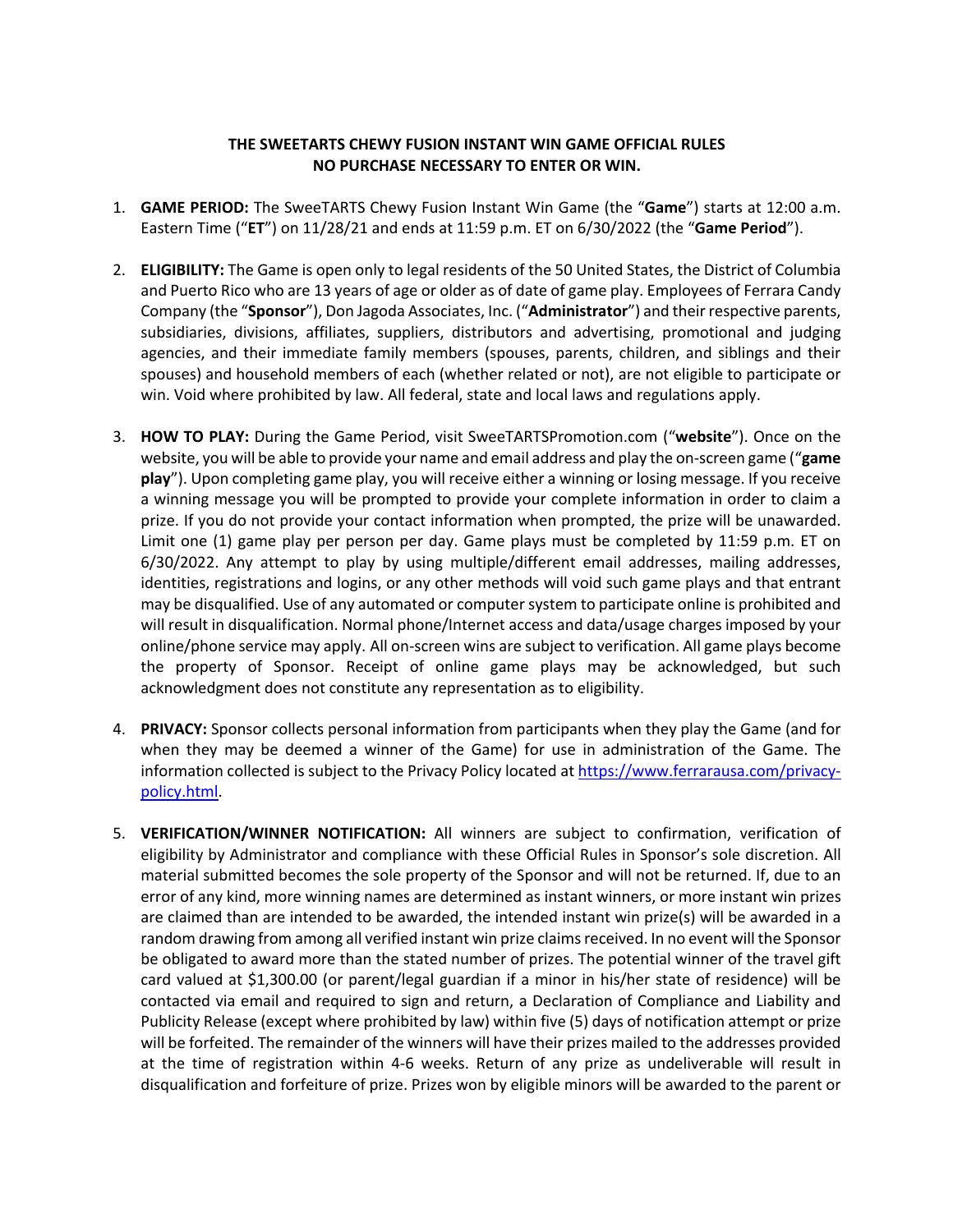## **THE SWEETARTS CHEWY FUSION INSTANT WIN GAME OFFICIAL RULES NO PURCHASE NECESSARY TO ENTER OR WIN.**

- 1. **GAME PERIOD:** The SweeTARTS Chewy Fusion Instant Win Game (the "**Game**") starts at 12:00 a.m. Eastern Time ("**ET**") on 11/28/21 and ends at 11:59 p.m. ET on 6/30/2022 (the "**Game Period**").
- 2. **ELIGIBILITY:** The Game is open only to legal residents of the 50 United States, the District of Columbia and Puerto Rico who are 13 years of age or older as of date of game play. Employees of Ferrara Candy Company (the "**Sponsor**"), Don Jagoda Associates, Inc. ("**Administrator**") and their respective parents, subsidiaries, divisions, affiliates, suppliers, distributors and advertising, promotional and judging agencies, and their immediate family members (spouses, parents, children, and siblings and their spouses) and household members of each (whether related or not), are not eligible to participate or win. Void where prohibited by law. All federal, state and local laws and regulations apply.
- 3. **HOW TO PLAY:** During the Game Period, visit SweeTARTSPromotion.com ("**website**"). Once on the website, you will be able to provide your name and email address and play the on-screen game ("**game play**"). Upon completing game play, you will receive either a winning or losing message. If you receive a winning message you will be prompted to provide your complete information in order to claim a prize. If you do not provide your contact information when prompted, the prize will be unawarded. Limit one (1) game play per person per day. Game plays must be completed by 11:59 p.m. ET on 6/30/2022. Any attempt to play by using multiple/different email addresses, mailing addresses, identities, registrations and logins, or any other methods will void such game plays and that entrant may be disqualified. Use of any automated or computer system to participate online is prohibited and will result in disqualification. Normal phone/Internet access and data/usage charges imposed by your online/phone service may apply. All on-screen wins are subject to verification. All game plays become the property of Sponsor. Receipt of online game plays may be acknowledged, but such acknowledgment does not constitute any representation as to eligibility.
- 4. **PRIVACY:** Sponsor collects personal information from participants when they play the Game (and for when they may be deemed a winner of the Game) for use in administration of the Game. The information collected is subject to the Privacy Policy located at https://www.ferrarausa.com/privacypolicy.html.
- 5. **VERIFICATION/WINNER NOTIFICATION:** All winners are subject to confirmation, verification of eligibility by Administrator and compliance with these Official Rules in Sponsor's sole discretion. All material submitted becomes the sole property of the Sponsor and will not be returned. If, due to an error of any kind, more winning names are determined as instant winners, or more instant win prizes are claimed than are intended to be awarded, the intended instant win prize(s) will be awarded in a random drawing from among all verified instant win prize claims received. In no event will the Sponsor be obligated to award more than the stated number of prizes. The potential winner of the travel gift card valued at \$1,300.00 (or parent/legal guardian if a minor in his/her state of residence) will be contacted via email and required to sign and return, a Declaration of Compliance and Liability and Publicity Release (except where prohibited by law) within five (5) days of notification attempt or prize will be forfeited. The remainder of the winners will have their prizes mailed to the addresses provided at the time of registration within 4-6 weeks. Return of any prize as undeliverable will result in disqualification and forfeiture of prize. Prizes won by eligible minors will be awarded to the parent or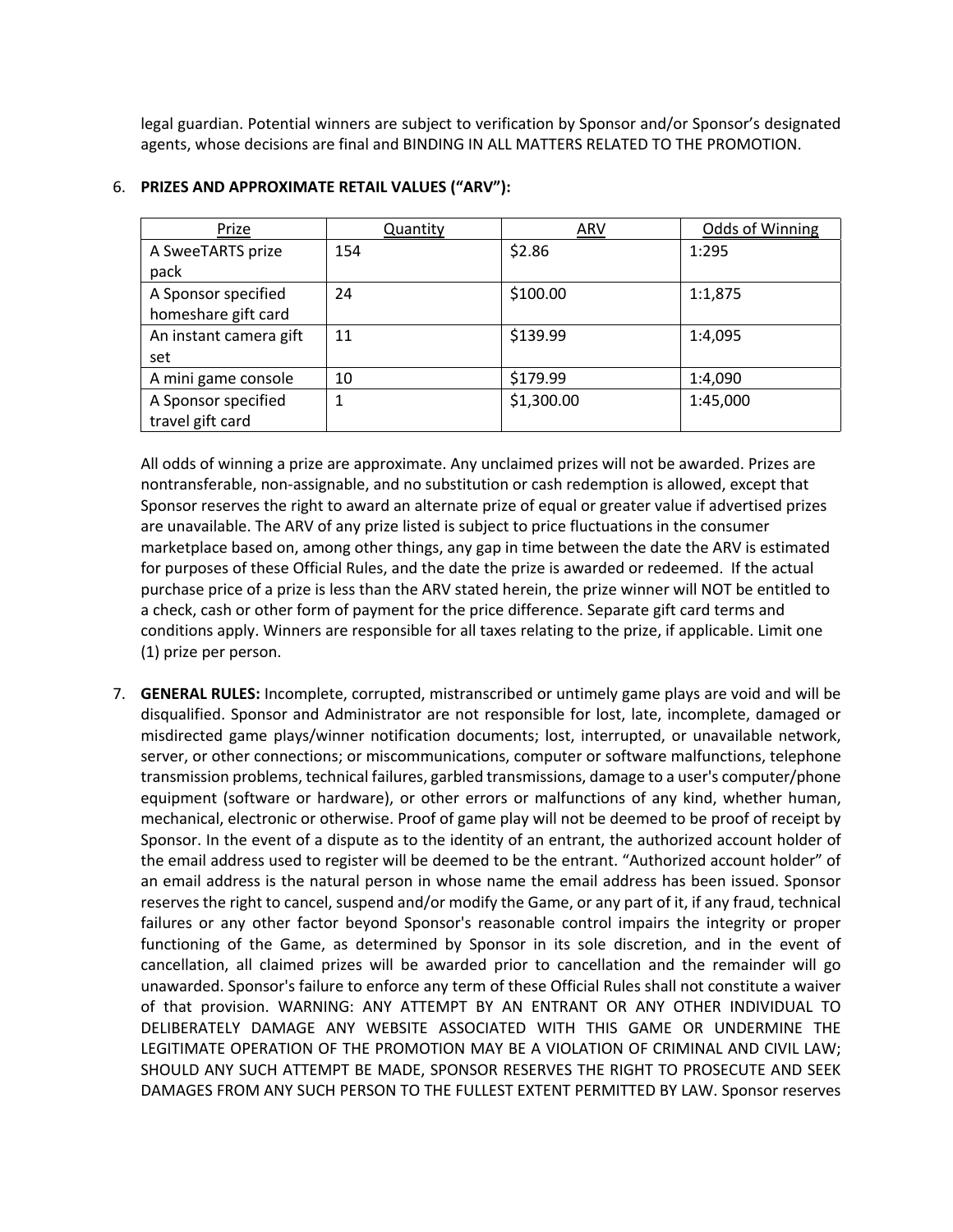legal guardian. Potential winners are subject to verification by Sponsor and/or Sponsor's designated agents, whose decisions are final and BINDING IN ALL MATTERS RELATED TO THE PROMOTION.

| Prize                  | <b>Quantity</b> | <b>ARV</b> | Odds of Winning |
|------------------------|-----------------|------------|-----------------|
| A SweeTARTS prize      | 154             | \$2.86     | 1:295           |
| pack                   |                 |            |                 |
| A Sponsor specified    | 24              | \$100.00   | 1:1,875         |
| homeshare gift card    |                 |            |                 |
| An instant camera gift | 11              | \$139.99   | 1:4,095         |
| set                    |                 |            |                 |
| A mini game console    | 10              | \$179.99   | 1:4,090         |
| A Sponsor specified    |                 | \$1,300.00 | 1:45,000        |
| travel gift card       |                 |            |                 |

## 6. **PRIZES AND APPROXIMATE RETAIL VALUES ("ARV"):**

All odds of winning a prize are approximate. Any unclaimed prizes will not be awarded. Prizes are nontransferable, non-assignable, and no substitution or cash redemption is allowed, except that Sponsor reserves the right to award an alternate prize of equal or greater value if advertised prizes are unavailable. The ARV of any prize listed is subject to price fluctuations in the consumer marketplace based on, among other things, any gap in time between the date the ARV is estimated for purposes of these Official Rules, and the date the prize is awarded or redeemed. If the actual purchase price of a prize is less than the ARV stated herein, the prize winner will NOT be entitled to a check, cash or other form of payment for the price difference. Separate gift card terms and conditions apply. Winners are responsible for all taxes relating to the prize, if applicable. Limit one (1) prize per person.

7. **GENERAL RULES:** Incomplete, corrupted, mistranscribed or untimely game plays are void and will be disqualified. Sponsor and Administrator are not responsible for lost, late, incomplete, damaged or misdirected game plays/winner notification documents; lost, interrupted, or unavailable network, server, or other connections; or miscommunications, computer or software malfunctions, telephone transmission problems, technical failures, garbled transmissions, damage to a user's computer/phone equipment (software or hardware), or other errors or malfunctions of any kind, whether human, mechanical, electronic or otherwise. Proof of game play will not be deemed to be proof of receipt by Sponsor. In the event of a dispute as to the identity of an entrant, the authorized account holder of the email address used to register will be deemed to be the entrant. "Authorized account holder" of an email address is the natural person in whose name the email address has been issued. Sponsor reserves the right to cancel, suspend and/or modify the Game, or any part of it, if any fraud, technical failures or any other factor beyond Sponsor's reasonable control impairs the integrity or proper functioning of the Game, as determined by Sponsor in its sole discretion, and in the event of cancellation, all claimed prizes will be awarded prior to cancellation and the remainder will go unawarded. Sponsor's failure to enforce any term of these Official Rules shall not constitute a waiver of that provision. WARNING: ANY ATTEMPT BY AN ENTRANT OR ANY OTHER INDIVIDUAL TO DELIBERATELY DAMAGE ANY WEBSITE ASSOCIATED WITH THIS GAME OR UNDERMINE THE LEGITIMATE OPERATION OF THE PROMOTION MAY BE A VIOLATION OF CRIMINAL AND CIVIL LAW; SHOULD ANY SUCH ATTEMPT BE MADE, SPONSOR RESERVES THE RIGHT TO PROSECUTE AND SEEK DAMAGES FROM ANY SUCH PERSON TO THE FULLEST EXTENT PERMITTED BY LAW. Sponsor reserves